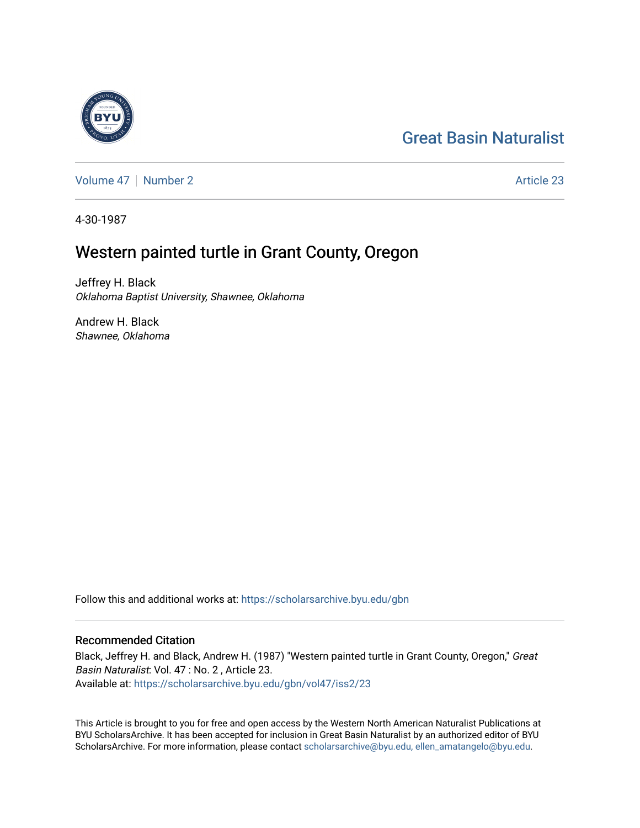# [Great Basin Naturalist](https://scholarsarchive.byu.edu/gbn)

[Volume 47](https://scholarsarchive.byu.edu/gbn/vol47) | [Number 2](https://scholarsarchive.byu.edu/gbn/vol47/iss2) Article 23

4-30-1987

## Western painted turtle in Grant County, Oregon

Jeffrey H. Black Oklahoma Baptist University, Shawnee, Oklahoma

Andrew H. Black Shawnee, Oklahoma

Follow this and additional works at: [https://scholarsarchive.byu.edu/gbn](https://scholarsarchive.byu.edu/gbn?utm_source=scholarsarchive.byu.edu%2Fgbn%2Fvol47%2Fiss2%2F23&utm_medium=PDF&utm_campaign=PDFCoverPages) 

### Recommended Citation

Black, Jeffrey H. and Black, Andrew H. (1987) "Western painted turtle in Grant County, Oregon," Great Basin Naturalist: Vol. 47 : No. 2 , Article 23. Available at: [https://scholarsarchive.byu.edu/gbn/vol47/iss2/23](https://scholarsarchive.byu.edu/gbn/vol47/iss2/23?utm_source=scholarsarchive.byu.edu%2Fgbn%2Fvol47%2Fiss2%2F23&utm_medium=PDF&utm_campaign=PDFCoverPages) 

This Article is brought to you for free and open access by the Western North American Naturalist Publications at BYU ScholarsArchive. It has been accepted for inclusion in Great Basin Naturalist by an authorized editor of BYU ScholarsArchive. For more information, please contact [scholarsarchive@byu.edu, ellen\\_amatangelo@byu.edu.](mailto:scholarsarchive@byu.edu,%20ellen_amatangelo@byu.edu)